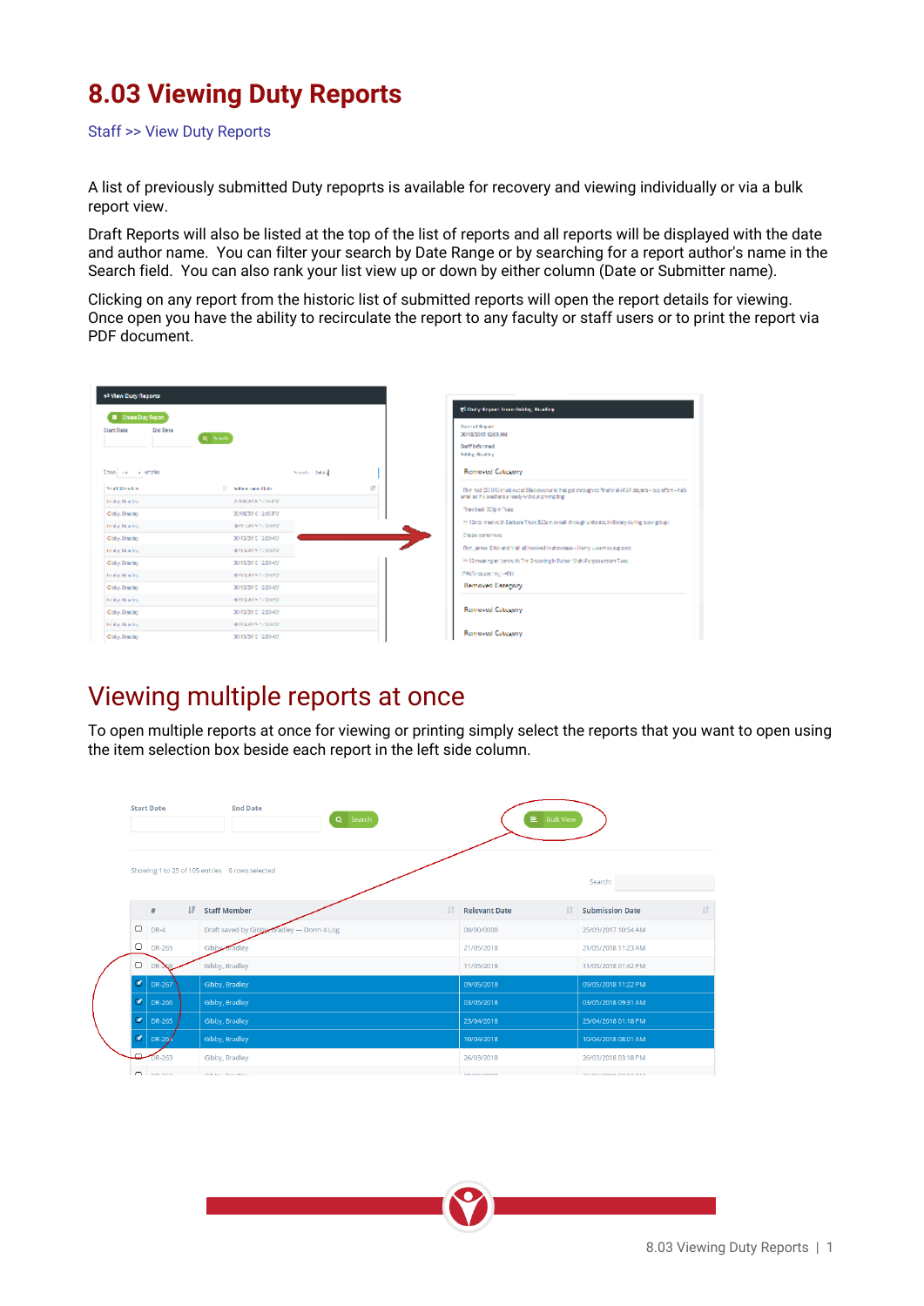## **8.03 Viewing Duty Reports**

Staff >> View Duty Reports

A list of previously submitted Duty repoprts is available for recovery and viewing individually or via a bulk report view.

Draft Reports will also be listed at the top of the list of reports and all reports will be displayed with the date and author name. You can filter your search by Date Range or by searching for a report author's name in the Search field. You can also rank your list view up or down by either column (Date or Submitter name).

Clicking on any report from the historic list of submitted reports will open the report details for viewing. Once open you have the ability to recirculate the report to any faculty or staff users or to print the report via PDF document.



## Viewing multiple reports at once

To open multiple reports at once for viewing or printing simply select the reports that you want to open using the item selection box beside each report in the left side column.

| <b>Start Date</b> |              |   | <b>End Date</b><br>Q Search                    |           | $\equiv$ Bulk View   |                |                        |           |
|-------------------|--------------|---|------------------------------------------------|-----------|----------------------|----------------|------------------------|-----------|
|                   |              |   | Showing 1 to 25 of 105 entries 6 rows selected |           |                      |                | Search:                |           |
|                   |              |   |                                                |           |                      |                |                        |           |
|                   | $\#$         | Ħ | <b>Staff Member</b>                            | <b>IT</b> | <b>Relevant Date</b> | $\downarrow$ î | <b>Submission Date</b> | <b>If</b> |
|                   | $O$ DR-4     |   | Draft saved by Gibby, Bradley - Dorm 4 Log     |           | 00/00/0000           |                | 25/09/2017 10:54 AM    |           |
|                   | $D$ DR-269   |   | Gibby Bradley                                  |           | 21/05/2018           |                | 21/05/2018 11:23 AM    |           |
| $\Box$            | DR-          |   | Gibby, Bradley                                 |           | 11/05/2018           |                | 11/05/2018 01:42 PM    |           |
| $\bullet$         | DR-267       |   | Gibby, Bradley                                 |           | 09/05/2018           |                | 09/05/2018 11:22 PM    |           |
| $\bullet$         | DR-266       |   | Gibby, Bradley                                 |           | 03/05/2018           |                | 03/05/2018 09:31 AM    |           |
| $\bullet$         | DR-265       |   | Gibby, Bradley                                 |           | 23/04/2018           |                | 23/04/2018 01:18 PM    |           |
| $\sigma$          | DR-26        |   | Gibby, Bradley                                 |           | 10/04/2018           |                | 10/04/2018 08:01 AM    |           |
| ىھ                | DR-263       |   | Gibby, Bradley                                 |           | 26/03/2018           |                | 26/03/2018 03:18 PM    |           |
|                   | $\sim$ $  -$ |   | the state of the state of the state of         |           | ----------           |                | -----------------      |           |